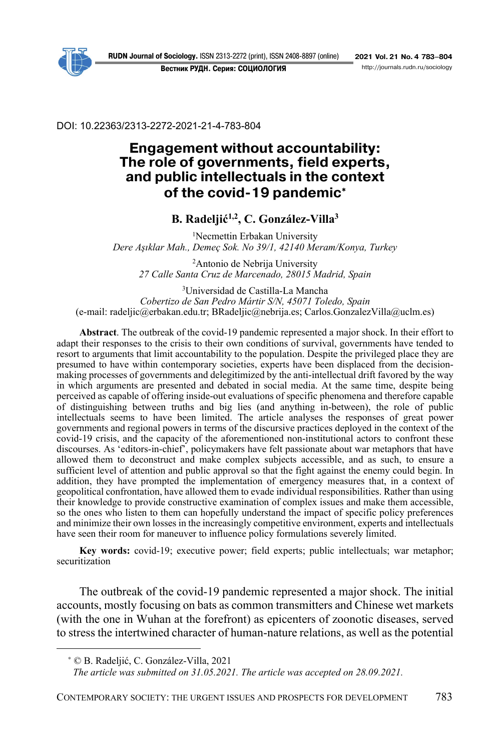**Вестник РУДН. Серия: СОЦИОЛОГИЯ** 

DOI: 10.22363/2313-2272-2021-21-4-783-804

# **Engagement without accountability: The role of governments, field experts, and public intellectuals in the context**  of the covid-19 pandemic<sup>\*</sup>

### **B. Radeljić1,2, C. González-Villa3**

<sup>1</sup>Necmettin Erbakan University *Dere Aşıklar Mah., Demeç Sok. No 39/1, 42140 Meram/Konya, Turkey* 

2 Antonio de Nebrija University *27 Calle Santa Cruz de Marcenado, 28015 Madrid, Spain*

3 Universidad de Castilla-La Mancha *Cobertizo de San Pedro Mártir S/N, 45071 Toledo, Spain*  (e-mail: radeljic@erbakan.edu.tr; BRadeljic@nebrija.es; Carlos.GonzalezVilla@uclm.es)

**Abstract**. The outbreak of the covid-19 pandemic represented a major shock. In their effort to adapt their responses to the crisis to their own conditions of survival, governments have tended to resort to arguments that limit accountability to the population. Despite the privileged place they are presumed to have within contemporary societies, experts have been displaced from the decisionmaking processes of governments and delegitimized by the anti-intellectual drift favored by the way in which arguments are presented and debated in social media. At the same time, despite being perceived as capable of offering inside-out evaluations of specific phenomena and therefore capable of distinguishing between truths and big lies (and anything in-between), the role of public intellectuals seems to have been limited. The article analyses the responses of great power governments and regional powers in terms of the discursive practices deployed in the context of the covid-19 crisis, and the capacity of the aforementioned non-institutional actors to confront these discourses. As 'editors-in-chief', policymakers have felt passionate about war metaphors that have allowed them to deconstruct and make complex subjects accessible, and as such, to ensure a sufficient level of attention and public approval so that the fight against the enemy could begin. In addition, they have prompted the implementation of emergency measures that, in a context of geopolitical confrontation, have allowed them to evade individual responsibilities. Rather than using their knowledge to provide constructive examination of complex issues and make them accessible, so the ones who listen to them can hopefully understand the impact of specific policy preferences and minimize their own losses in the increasingly competitive environment, experts and intellectuals have seen their room for maneuver to influence policy formulations severely limited.

**Key words:** covid-19; executive power; field experts; public intellectuals; war metaphor; securitization

The outbreak of the covid-19 pandemic represented a major shock. The initial accounts, mostly focusing on bats as common transmitters and Chinese wet markets (with the one in Wuhan at the forefront) as epicenters of zoonotic diseases, served to stress the intertwined character of human-nature relations, as well as the potential

<sup>∗</sup> © B. Radeljić, C. González-Villa, 2021

*The article was submitted on 31.05.2021. The article was accepted on 28.09.2021.*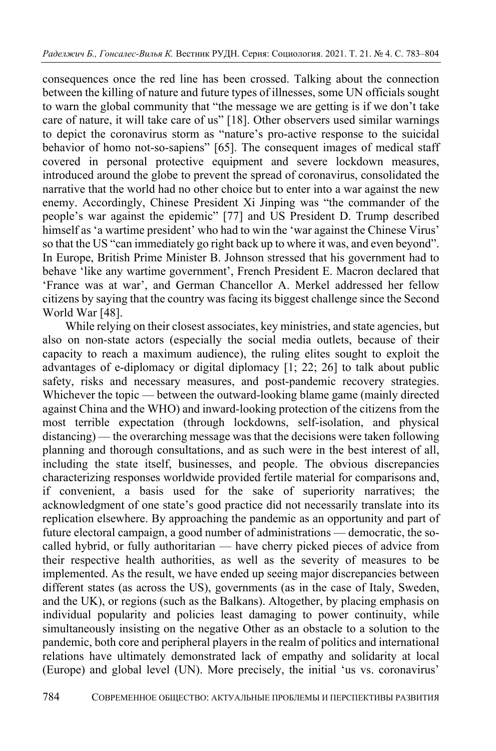consequences once the red line has been crossed. Talking about the connection between the killing of nature and future types of illnesses, some UN officials sought to warn the global community that "the message we are getting is if we don't take care of nature, it will take care of us" [18]. Other observers used similar warnings to depict the coronavirus storm as "nature's pro-active response to the suicidal behavior of homo not-so-sapiens" [65]. The consequent images of medical staff covered in personal protective equipment and severe lockdown measures, introduced around the globe to prevent the spread of coronavirus, consolidated the narrative that the world had no other choice but to enter into a war against the new enemy. Accordingly, Chinese President Xi Jinping was "the commander of the people's war against the epidemic" [77] and US President D. Trump described himself as 'a wartime president' who had to win the 'war against the Chinese Virus' so that the US "can immediately go right back up to where it was, and even beyond". In Europe, British Prime Minister B. Johnson stressed that his government had to behave 'like any wartime government', French President E. Macron declared that 'France was at war', and German Chancellor A. Merkel addressed her fellow citizens by saying that the country was facing its biggest challenge since the Second World War [48].

While relying on their closest associates, key ministries, and state agencies, but also on non-state actors (especially the social media outlets, because of their capacity to reach a maximum audience), the ruling elites sought to exploit the advantages of e-diplomacy or digital diplomacy [1; 22; 26] to talk about public safety, risks and necessary measures, and post-pandemic recovery strategies. Whichever the topic — between the outward-looking blame game (mainly directed against China and the WHO) and inward-looking protection of the citizens from the most terrible expectation (through lockdowns, self-isolation, and physical distancing) — the overarching message was that the decisions were taken following planning and thorough consultations, and as such were in the best interest of all, including the state itself, businesses, and people. The obvious discrepancies characterizing responses worldwide provided fertile material for comparisons and, if convenient, a basis used for the sake of superiority narratives; the acknowledgment of one state's good practice did not necessarily translate into its replication elsewhere. By approaching the pandemic as an opportunity and part of future electoral campaign, a good number of administrations — democratic, the socalled hybrid, or fully authoritarian — have cherry picked pieces of advice from their respective health authorities, as well as the severity of measures to be implemented. As the result, we have ended up seeing major discrepancies between different states (as across the US), governments (as in the case of Italy, Sweden, and the UK), or regions (such as the Balkans). Altogether, by placing emphasis on individual popularity and policies least damaging to power continuity, while simultaneously insisting on the negative Other as an obstacle to a solution to the pandemic, both core and peripheral players in the realm of politics and international relations have ultimately demonstrated lack of empathy and solidarity at local (Europe) and global level (UN). More precisely, the initial 'us vs. coronavirus'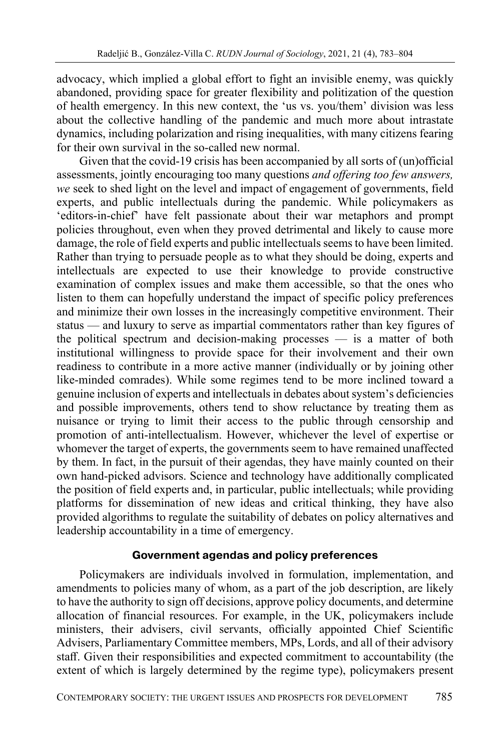advocacy, which implied a global effort to fight an invisible enemy, was quickly abandoned, providing space for greater flexibility and politization of the question of health emergency. In this new context, the 'us vs. you/them' division was less about the collective handling of the pandemic and much more about intrastate dynamics, including polarization and rising inequalities, with many citizens fearing for their own survival in the so-called new normal.

Given that the covid-19 crisis has been accompanied by all sorts of (un)official assessments, jointly encouraging too many questions *and offering too few answers, we* seek to shed light on the level and impact of engagement of governments, field experts, and public intellectuals during the pandemic. While policymakers as 'editors-in-chief' have felt passionate about their war metaphors and prompt policies throughout, even when they proved detrimental and likely to cause more damage, the role of field experts and public intellectuals seems to have been limited. Rather than trying to persuade people as to what they should be doing, experts and intellectuals are expected to use their knowledge to provide constructive examination of complex issues and make them accessible, so that the ones who listen to them can hopefully understand the impact of specific policy preferences and minimize their own losses in the increasingly competitive environment. Their status — and luxury to serve as impartial commentators rather than key figures of the political spectrum and decision-making processes — is a matter of both institutional willingness to provide space for their involvement and their own readiness to contribute in a more active manner (individually or by joining other like-minded comrades). While some regimes tend to be more inclined toward a genuine inclusion of experts and intellectuals in debates about system's deficiencies and possible improvements, others tend to show reluctance by treating them as nuisance or trying to limit their access to the public through censorship and promotion of anti-intellectualism. However, whichever the level of expertise or whomever the target of experts, the governments seem to have remained unaffected by them. In fact, in the pursuit of their agendas, they have mainly counted on their own hand-picked advisors. Science and technology have additionally complicated the position of field experts and, in particular, public intellectuals; while providing platforms for dissemination of new ideas and critical thinking, they have also provided algorithms to regulate the suitability of debates on policy alternatives and leadership accountability in a time of emergency.

#### **Government agendas and policy preferences**

Policymakers are individuals involved in formulation, implementation, and amendments to policies many of whom, as a part of the job description, are likely to have the authority to sign off decisions, approve policy documents, and determine allocation of financial resources. For example, in the UK, policymakers include ministers, their advisers, civil servants, officially appointed Chief Scientific Advisers, Parliamentary Committee members, MPs, Lords, and all of their advisory staff. Given their responsibilities and expected commitment to accountability (the extent of which is largely determined by the regime type), policymakers present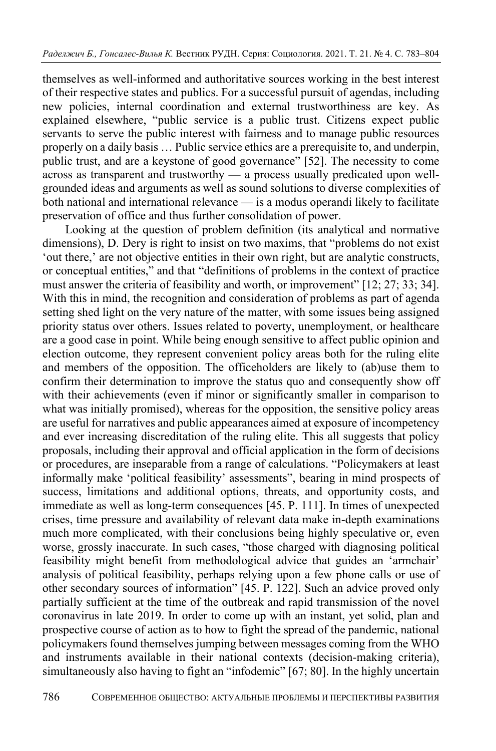themselves as well-informed and authoritative sources working in the best interest of their respective states and publics. For a successful pursuit of agendas, including new policies, internal coordination and external trustworthiness are key. As explained elsewhere, "public service is a public trust. Citizens expect public servants to serve the public interest with fairness and to manage public resources properly on a daily basis … Public service ethics are a prerequisite to, and underpin, public trust, and are a keystone of good governance" [52]. The necessity to come across as transparent and trustworthy — a process usually predicated upon wellgrounded ideas and arguments as well as sound solutions to diverse complexities of both national and international relevance — is a modus operandi likely to facilitate preservation of office and thus further consolidation of power.

Looking at the question of problem definition (its analytical and normative dimensions), D. Dery is right to insist on two maxims, that "problems do not exist 'out there,' are not objective entities in their own right, but are analytic constructs, or conceptual entities," and that "definitions of problems in the context of practice must answer the criteria of feasibility and worth, or improvement" [12; 27; 33; 34]. With this in mind, the recognition and consideration of problems as part of agenda setting shed light on the very nature of the matter, with some issues being assigned priority status over others. Issues related to poverty, unemployment, or healthcare are a good case in point. While being enough sensitive to affect public opinion and election outcome, they represent convenient policy areas both for the ruling elite and members of the opposition. The officeholders are likely to (ab)use them to confirm their determination to improve the status quo and consequently show off with their achievements (even if minor or significantly smaller in comparison to what was initially promised), whereas for the opposition, the sensitive policy areas are useful for narratives and public appearances aimed at exposure of incompetency and ever increasing discreditation of the ruling elite. This all suggests that policy proposals, including their approval and official application in the form of decisions or procedures, are inseparable from a range of calculations. "Policymakers at least informally make 'political feasibility' assessments", bearing in mind prospects of success, limitations and additional options, threats, and opportunity costs, and immediate as well as long-term consequences [45. P. 111]. In times of unexpected crises, time pressure and availability of relevant data make in-depth examinations much more complicated, with their conclusions being highly speculative or, even worse, grossly inaccurate. In such cases, "those charged with diagnosing political feasibility might benefit from methodological advice that guides an 'armchair' analysis of political feasibility, perhaps relying upon a few phone calls or use of other secondary sources of information" [45. P. 122]. Such an advice proved only partially sufficient at the time of the outbreak and rapid transmission of the novel coronavirus in late 2019. In order to come up with an instant, yet solid, plan and prospective course of action as to how to fight the spread of the pandemic, national policymakers found themselves jumping between messages coming from the WHO and instruments available in their national contexts (decision-making criteria), simultaneously also having to fight an "infodemic" [67; 80]. In the highly uncertain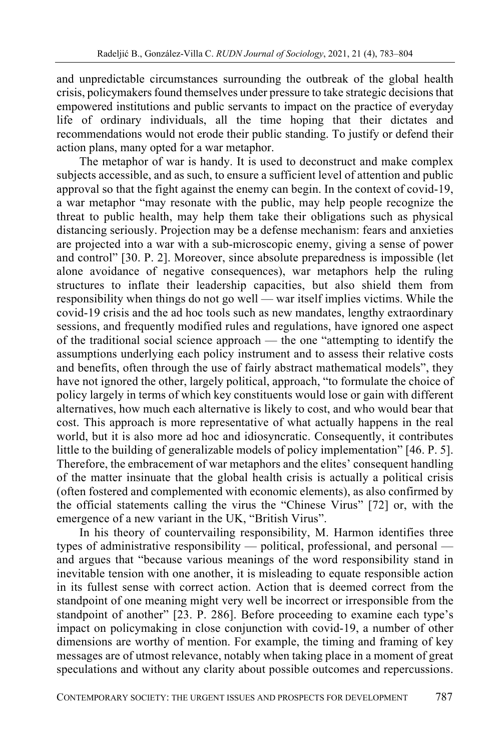and unpredictable circumstances surrounding the outbreak of the global health crisis, policymakers found themselves under pressure to take strategic decisions that empowered institutions and public servants to impact on the practice of everyday life of ordinary individuals, all the time hoping that their dictates and recommendations would not erode their public standing. To justify or defend their action plans, many opted for a war metaphor.

The metaphor of war is handy. It is used to deconstruct and make complex subjects accessible, and as such, to ensure a sufficient level of attention and public approval so that the fight against the enemy can begin. In the context of covid-19, a war metaphor "may resonate with the public, may help people recognize the threat to public health, may help them take their obligations such as physical distancing seriously. Projection may be a defense mechanism: fears and anxieties are projected into a war with a sub-microscopic enemy, giving a sense of power and control" [30. P. 2]. Moreover, since absolute preparedness is impossible (let alone avoidance of negative consequences), war metaphors help the ruling structures to inflate their leadership capacities, but also shield them from responsibility when things do not go well — war itself implies victims. While the covid-19 crisis and the ad hoc tools such as new mandates, lengthy extraordinary sessions, and frequently modified rules and regulations, have ignored one aspect of the traditional social science approach — the one "attempting to identify the assumptions underlying each policy instrument and to assess their relative costs and benefits, often through the use of fairly abstract mathematical models", they have not ignored the other, largely political, approach, "to formulate the choice of policy largely in terms of which key constituents would lose or gain with different alternatives, how much each alternative is likely to cost, and who would bear that cost. This approach is more representative of what actually happens in the real world, but it is also more ad hoc and idiosyncratic. Consequently, it contributes little to the building of generalizable models of policy implementation" [46. P. 5]. Therefore, the embracement of war metaphors and the elites' consequent handling of the matter insinuate that the global health crisis is actually a political crisis (often fostered and complemented with economic elements), as also confirmed by the official statements calling the virus the "Chinese Virus" [72] or, with the emergence of a new variant in the UK, "British Virus".

In his theory of countervailing responsibility, M. Harmon identifies three types of administrative responsibility — political, professional, and personal and argues that "because various meanings of the word responsibility stand in inevitable tension with one another, it is misleading to equate responsible action in its fullest sense with correct action. Action that is deemed correct from the standpoint of one meaning might very well be incorrect or irresponsible from the standpoint of another" [23. P. 286]. Before proceeding to examine each type's impact on policymaking in close conjunction with covid-19, a number of other dimensions are worthy of mention. For example, the timing and framing of key messages are of utmost relevance, notably when taking place in a moment of great speculations and without any clarity about possible outcomes and repercussions.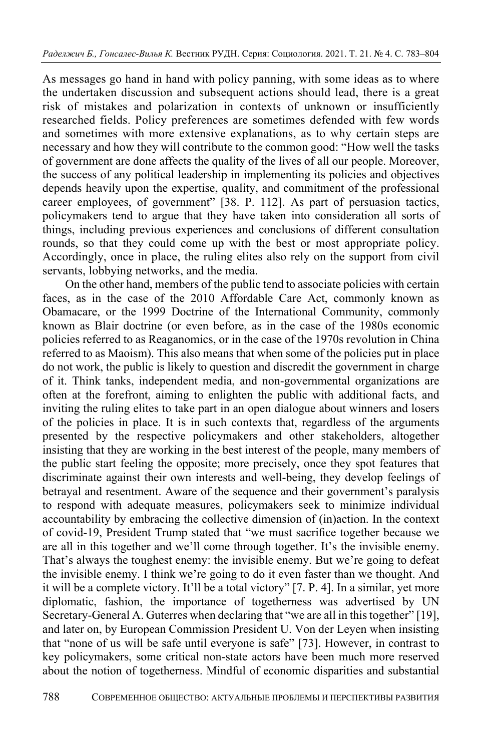As messages go hand in hand with policy panning, with some ideas as to where the undertaken discussion and subsequent actions should lead, there is a great risk of mistakes and polarization in contexts of unknown or insufficiently researched fields. Policy preferences are sometimes defended with few words and sometimes with more extensive explanations, as to why certain steps are necessary and how they will contribute to the common good: "How well the tasks of government are done affects the quality of the lives of all our people. Moreover, the success of any political leadership in implementing its policies and objectives depends heavily upon the expertise, quality, and commitment of the professional career employees, of government" [38. P. 112]. As part of persuasion tactics, policymakers tend to argue that they have taken into consideration all sorts of things, including previous experiences and conclusions of different consultation rounds, so that they could come up with the best or most appropriate policy. Accordingly, once in place, the ruling elites also rely on the support from civil servants, lobbying networks, and the media.

On the other hand, members of the public tend to associate policies with certain faces, as in the case of the 2010 Affordable Care Act, commonly known as Obamacare, or the 1999 Doctrine of the International Community, commonly known as Blair doctrine (or even before, as in the case of the 1980s economic policies referred to as Reaganomics, or in the case of the 1970s revolution in China referred to as Maoism). This also means that when some of the policies put in place do not work, the public is likely to question and discredit the government in charge of it. Think tanks, independent media, and non-governmental organizations are often at the forefront, aiming to enlighten the public with additional facts, and inviting the ruling elites to take part in an open dialogue about winners and losers of the policies in place. It is in such contexts that, regardless of the arguments presented by the respective policymakers and other stakeholders, altogether insisting that they are working in the best interest of the people, many members of the public start feeling the opposite; more precisely, once they spot features that discriminate against their own interests and well-being, they develop feelings of betrayal and resentment. Aware of the sequence and their government's paralysis to respond with adequate measures, policymakers seek to minimize individual accountability by embracing the collective dimension of (in)action. In the context of covid-19, President Trump stated that "we must sacrifice together because we are all in this together and we'll come through together. It's the invisible enemy. That's always the toughest enemy: the invisible enemy. But we're going to defeat the invisible enemy. I think we're going to do it even faster than we thought. And it will be a complete victory. It'll be a total victory" [7. P. 4]. In a similar, yet more diplomatic, fashion, the importance of togetherness was advertised by UN Secretary-General A. Guterres when declaring that "we are all in this together" [19], and later on, by European Commission President U. Von der Leyen when insisting that "none of us will be safe until everyone is safe" [73]. However, in contrast to key policymakers, some critical non-state actors have been much more reserved about the notion of togetherness. Mindful of economic disparities and substantial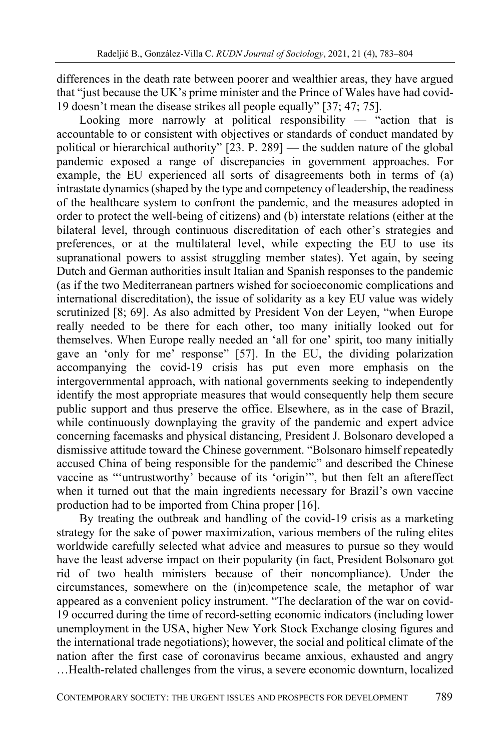differences in the death rate between poorer and wealthier areas, they have argued that "just because the UK's prime minister and the Prince of Wales have had covid-19 doesn't mean the disease strikes all people equally" [37; 47; 75].

Looking more narrowly at political responsibility  $-$  "action that is accountable to or consistent with objectives or standards of conduct mandated by political or hierarchical authority" [23. P. 289] — the sudden nature of the global pandemic exposed a range of discrepancies in government approaches. For example, the EU experienced all sorts of disagreements both in terms of (a) intrastate dynamics (shaped by the type and competency of leadership, the readiness of the healthcare system to confront the pandemic, and the measures adopted in order to protect the well-being of citizens) and (b) interstate relations (either at the bilateral level, through continuous discreditation of each other's strategies and preferences, or at the multilateral level, while expecting the EU to use its supranational powers to assist struggling member states). Yet again, by seeing Dutch and German authorities insult Italian and Spanish responses to the pandemic (as if the two Mediterranean partners wished for socioeconomic complications and international discreditation), the issue of solidarity as a key EU value was widely scrutinized [8; 69]. As also admitted by President Von der Leyen, "when Europe really needed to be there for each other, too many initially looked out for themselves. When Europe really needed an 'all for one' spirit, too many initially gave an 'only for me' response" [57]. In the EU, the dividing polarization accompanying the covid-19 crisis has put even more emphasis on the intergovernmental approach, with national governments seeking to independently identify the most appropriate measures that would consequently help them secure public support and thus preserve the office. Elsewhere, as in the case of Brazil, while continuously downplaying the gravity of the pandemic and expert advice concerning facemasks and physical distancing, President J. Bolsonaro developed a dismissive attitude toward the Chinese government. "Bolsonaro himself repeatedly accused China of being responsible for the pandemic" and described the Chinese vaccine as "'untrustworthy' because of its 'origin'", but then felt an aftereffect when it turned out that the main ingredients necessary for Brazil's own vaccine production had to be imported from China proper [16].

By treating the outbreak and handling of the covid-19 crisis as a marketing strategy for the sake of power maximization, various members of the ruling elites worldwide carefully selected what advice and measures to pursue so they would have the least adverse impact on their popularity (in fact, President Bolsonaro got rid of two health ministers because of their noncompliance). Under the circumstances, somewhere on the (in)competence scale, the metaphor of war appeared as a convenient policy instrument. "The declaration of the war on covid-19 occurred during the time of record-setting economic indicators (including lower unemployment in the USA, higher New York Stock Exchange closing figures and the international trade negotiations); however, the social and political climate of the nation after the first case of coronavirus became anxious, exhausted and angry …Health-related challenges from the virus, a severe economic downturn, localized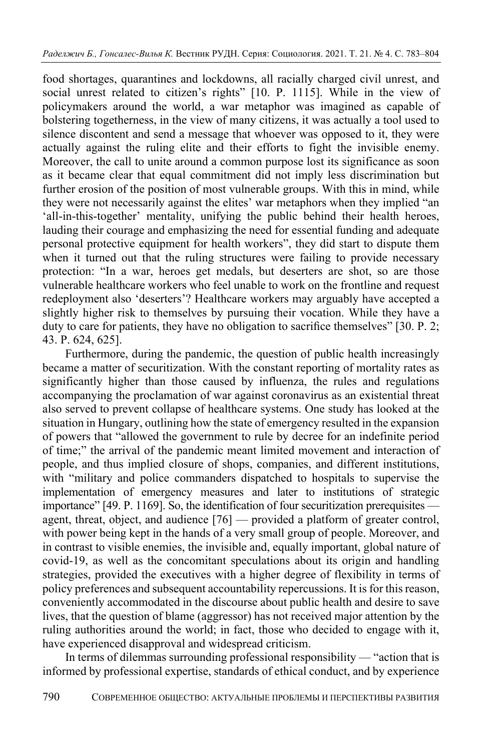food shortages, quarantines and lockdowns, all racially charged civil unrest, and social unrest related to citizen's rights" [10. P. 1115]. While in the view of policymakers around the world, a war metaphor was imagined as capable of bolstering togetherness, in the view of many citizens, it was actually a tool used to silence discontent and send a message that whoever was opposed to it, they were actually against the ruling elite and their efforts to fight the invisible enemy. Moreover, the call to unite around a common purpose lost its significance as soon as it became clear that equal commitment did not imply less discrimination but further erosion of the position of most vulnerable groups. With this in mind, while they were not necessarily against the elites' war metaphors when they implied "an 'all-in-this-together' mentality, unifying the public behind their health heroes, lauding their courage and emphasizing the need for essential funding and adequate personal protective equipment for health workers", they did start to dispute them when it turned out that the ruling structures were failing to provide necessary protection: "In a war, heroes get medals, but deserters are shot, so are those vulnerable healthcare workers who feel unable to work on the frontline and request redeployment also 'deserters'? Healthcare workers may arguably have accepted a slightly higher risk to themselves by pursuing their vocation. While they have a duty to care for patients, they have no obligation to sacrifice themselves" [30. P. 2; 43. P. 624, 625].

Furthermore, during the pandemic, the question of public health increasingly became a matter of securitization. With the constant reporting of mortality rates as significantly higher than those caused by influenza, the rules and regulations accompanying the proclamation of war against coronavirus as an existential threat also served to prevent collapse of healthcare systems. One study has looked at the situation in Hungary, outlining how the state of emergency resulted in the expansion of powers that "allowed the government to rule by decree for an indefinite period of time;" the arrival of the pandemic meant limited movement and interaction of people, and thus implied closure of shops, companies, and different institutions, with "military and police commanders dispatched to hospitals to supervise the implementation of emergency measures and later to institutions of strategic importance" [49. P. 1169]. So, the identification of four securitization prerequisites agent, threat, object, and audience [76] — provided a platform of greater control, with power being kept in the hands of a very small group of people. Moreover, and in contrast to visible enemies, the invisible and, equally important, global nature of covid-19, as well as the concomitant speculations about its origin and handling strategies, provided the executives with a higher degree of flexibility in terms of policy preferences and subsequent accountability repercussions. It is for this reason, conveniently accommodated in the discourse about public health and desire to save lives, that the question of blame (aggressor) has not received major attention by the ruling authorities around the world; in fact, those who decided to engage with it, have experienced disapproval and widespread criticism.

In terms of dilemmas surrounding professional responsibility — "action that is informed by professional expertise, standards of ethical conduct, and by experience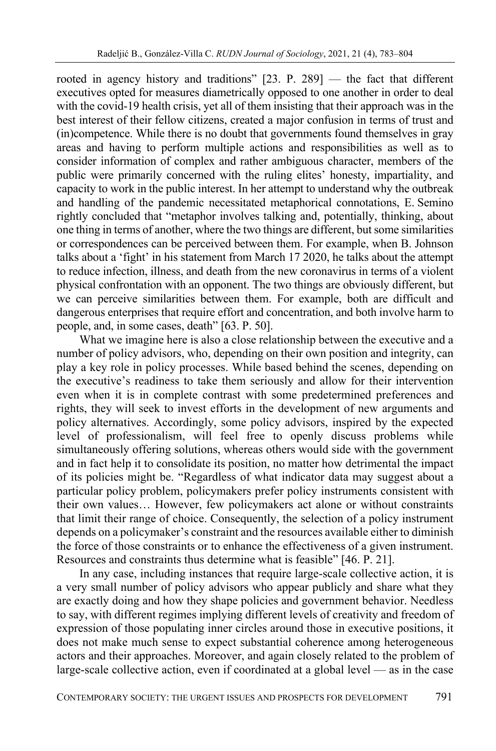rooted in agency history and traditions" [23. P. 289] — the fact that different executives opted for measures diametrically opposed to one another in order to deal with the covid-19 health crisis, yet all of them insisting that their approach was in the best interest of their fellow citizens, created a major confusion in terms of trust and (in)competence. While there is no doubt that governments found themselves in gray areas and having to perform multiple actions and responsibilities as well as to consider information of complex and rather ambiguous character, members of the public were primarily concerned with the ruling elites' honesty, impartiality, and capacity to work in the public interest. In her attempt to understand why the outbreak and handling of the pandemic necessitated metaphorical connotations, E. Semino rightly concluded that "metaphor involves talking and, potentially, thinking, about one thing in terms of another, where the two things are different, but some similarities or correspondences can be perceived between them. For example, when B. Johnson talks about a 'fight' in his statement from March 17 2020, he talks about the attempt to reduce infection, illness, and death from the new coronavirus in terms of a violent physical confrontation with an opponent. The two things are obviously different, but we can perceive similarities between them. For example, both are difficult and dangerous enterprises that require effort and concentration, and both involve harm to people, and, in some cases, death" [63. P. 50].

What we imagine here is also a close relationship between the executive and a number of policy advisors, who, depending on their own position and integrity, can play a key role in policy processes. While based behind the scenes, depending on the executive's readiness to take them seriously and allow for their intervention even when it is in complete contrast with some predetermined preferences and rights, they will seek to invest efforts in the development of new arguments and policy alternatives. Accordingly, some policy advisors, inspired by the expected level of professionalism, will feel free to openly discuss problems while simultaneously offering solutions, whereas others would side with the government and in fact help it to consolidate its position, no matter how detrimental the impact of its policies might be. "Regardless of what indicator data may suggest about a particular policy problem, policymakers prefer policy instruments consistent with their own values… However, few policymakers act alone or without constraints that limit their range of choice. Consequently, the selection of a policy instrument depends on a policymaker's constraint and the resources available either to diminish the force of those constraints or to enhance the effectiveness of a given instrument. Resources and constraints thus determine what is feasible" [46. P. 21].

In any case, including instances that require large-scale collective action, it is a very small number of policy advisors who appear publicly and share what they are exactly doing and how they shape policies and government behavior. Needless to say, with different regimes implying different levels of creativity and freedom of expression of those populating inner circles around those in executive positions, it does not make much sense to expect substantial coherence among heterogeneous actors and their approaches. Moreover, and again closely related to the problem of large-scale collective action, even if coordinated at a global level — as in the case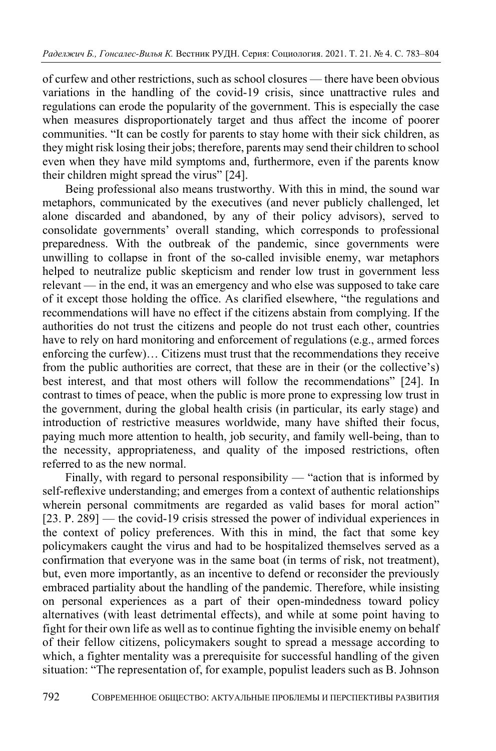of curfew and other restrictions, such as school closures — there have been obvious variations in the handling of the covid-19 crisis, since unattractive rules and regulations can erode the popularity of the government. This is especially the case when measures disproportionately target and thus affect the income of poorer communities. "It can be costly for parents to stay home with their sick children, as they might risk losing their jobs; therefore, parents may send their children to school even when they have mild symptoms and, furthermore, even if the parents know their children might spread the virus" [24].

Being professional also means trustworthy. With this in mind, the sound war metaphors, communicated by the executives (and never publicly challenged, let alone discarded and abandoned, by any of their policy advisors), served to consolidate governments' overall standing, which corresponds to professional preparedness. With the outbreak of the pandemic, since governments were unwilling to collapse in front of the so-called invisible enemy, war metaphors helped to neutralize public skepticism and render low trust in government less relevant — in the end, it was an emergency and who else was supposed to take care of it except those holding the office. As clarified elsewhere, "the regulations and recommendations will have no effect if the citizens abstain from complying. If the authorities do not trust the citizens and people do not trust each other, countries have to rely on hard monitoring and enforcement of regulations (e.g., armed forces enforcing the curfew)… Citizens must trust that the recommendations they receive from the public authorities are correct, that these are in their (or the collective's) best interest, and that most others will follow the recommendations" [24]. In contrast to times of peace, when the public is more prone to expressing low trust in the government, during the global health crisis (in particular, its early stage) and introduction of restrictive measures worldwide, many have shifted their focus, paying much more attention to health, job security, and family well-being, than to the necessity, appropriateness, and quality of the imposed restrictions, often referred to as the new normal.

Finally, with regard to personal responsibility — "action that is informed by self-reflexive understanding; and emerges from a context of authentic relationships wherein personal commitments are regarded as valid bases for moral action" [23. P. 289] — the covid-19 crisis stressed the power of individual experiences in the context of policy preferences. With this in mind, the fact that some key policymakers caught the virus and had to be hospitalized themselves served as a confirmation that everyone was in the same boat (in terms of risk, not treatment), but, even more importantly, as an incentive to defend or reconsider the previously embraced partiality about the handling of the pandemic. Therefore, while insisting on personal experiences as a part of their open-mindedness toward policy alternatives (with least detrimental effects), and while at some point having to fight for their own life as well as to continue fighting the invisible enemy on behalf of their fellow citizens, policymakers sought to spread a message according to which, a fighter mentality was a prerequisite for successful handling of the given situation: "The representation of, for example, populist leaders such as B. Johnson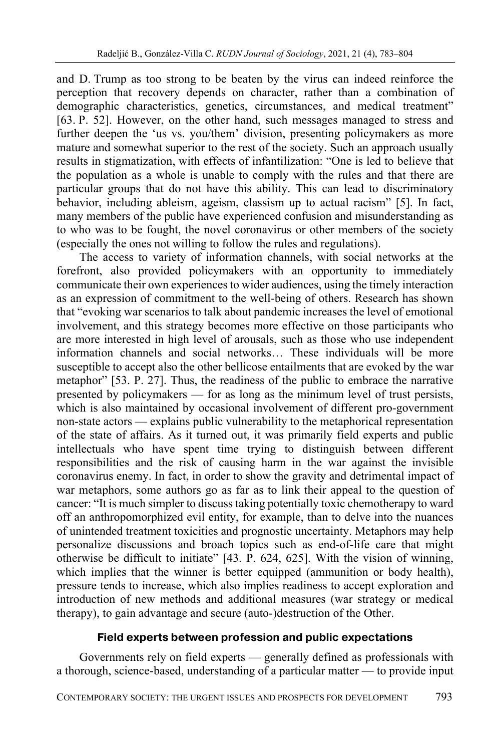and D. Trump as too strong to be beaten by the virus can indeed reinforce the perception that recovery depends on character, rather than a combination of demographic characteristics, genetics, circumstances, and medical treatment" [63. P. 52]. However, on the other hand, such messages managed to stress and further deepen the 'us vs. you/them' division, presenting policymakers as more mature and somewhat superior to the rest of the society. Such an approach usually results in stigmatization, with effects of infantilization: "One is led to believe that the population as a whole is unable to comply with the rules and that there are particular groups that do not have this ability. This can lead to discriminatory behavior, including ableism, ageism, classism up to actual racism" [5]. In fact, many members of the public have experienced confusion and misunderstanding as to who was to be fought, the novel coronavirus or other members of the society (especially the ones not willing to follow the rules and regulations).

The access to variety of information channels, with social networks at the forefront, also provided policymakers with an opportunity to immediately communicate their own experiences to wider audiences, using the timely interaction as an expression of commitment to the well-being of others. Research has shown that "evoking war scenarios to talk about pandemic increases the level of emotional involvement, and this strategy becomes more effective on those participants who are more interested in high level of arousals, such as those who use independent information channels and social networks… These individuals will be more susceptible to accept also the other bellicose entailments that are evoked by the war metaphor" [53. P. 27]. Thus, the readiness of the public to embrace the narrative presented by policymakers — for as long as the minimum level of trust persists, which is also maintained by occasional involvement of different pro-government non-state actors — explains public vulnerability to the metaphorical representation of the state of affairs. As it turned out, it was primarily field experts and public intellectuals who have spent time trying to distinguish between different responsibilities and the risk of causing harm in the war against the invisible coronavirus enemy. In fact, in order to show the gravity and detrimental impact of war metaphors, some authors go as far as to link their appeal to the question of cancer: "It is much simpler to discuss taking potentially toxic chemotherapy to ward off an anthropomorphized evil entity, for example, than to delve into the nuances of unintended treatment toxicities and prognostic uncertainty. Metaphors may help personalize discussions and broach topics such as end-of-life care that might otherwise be difficult to initiate" [43. P. 624, 625]. With the vision of winning, which implies that the winner is better equipped (ammunition or body health), pressure tends to increase, which also implies readiness to accept exploration and introduction of new methods and additional measures (war strategy or medical therapy), to gain advantage and secure (auto-)destruction of the Other.

### **Field experts between profession and public expectations**

Governments rely on field experts — generally defined as professionals with a thorough, science-based, understanding of a particular matter — to provide input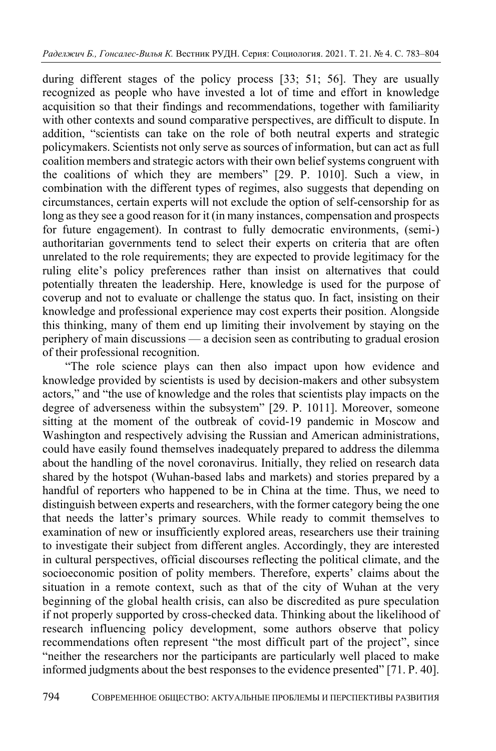during different stages of the policy process [33; 51; 56]. They are usually recognized as people who have invested a lot of time and effort in knowledge acquisition so that their findings and recommendations, together with familiarity with other contexts and sound comparative perspectives, are difficult to dispute. In addition, "scientists can take on the role of both neutral experts and strategic policymakers. Scientists not only serve as sources of information, but can act as full coalition members and strategic actors with their own belief systems congruent with the coalitions of which they are members" [29. P. 1010]. Such a view, in combination with the different types of regimes, also suggests that depending on circumstances, certain experts will not exclude the option of self-censorship for as long as they see a good reason for it (in many instances, compensation and prospects for future engagement). In contrast to fully democratic environments, (semi-) authoritarian governments tend to select their experts on criteria that are often unrelated to the role requirements; they are expected to provide legitimacy for the ruling elite's policy preferences rather than insist on alternatives that could potentially threaten the leadership. Here, knowledge is used for the purpose of coverup and not to evaluate or challenge the status quo. In fact, insisting on their knowledge and professional experience may cost experts their position. Alongside this thinking, many of them end up limiting their involvement by staying on the periphery of main discussions — a decision seen as contributing to gradual erosion of their professional recognition.

"The role science plays can then also impact upon how evidence and knowledge provided by scientists is used by decision-makers and other subsystem actors," and "the use of knowledge and the roles that scientists play impacts on the degree of adverseness within the subsystem" [29. P. 1011]. Moreover, someone sitting at the moment of the outbreak of covid-19 pandemic in Moscow and Washington and respectively advising the Russian and American administrations, could have easily found themselves inadequately prepared to address the dilemma about the handling of the novel coronavirus. Initially, they relied on research data shared by the hotspot (Wuhan-based labs and markets) and stories prepared by a handful of reporters who happened to be in China at the time. Thus, we need to distinguish between experts and researchers, with the former category being the one that needs the latter's primary sources. While ready to commit themselves to examination of new or insufficiently explored areas, researchers use their training to investigate their subject from different angles. Accordingly, they are interested in cultural perspectives, official discourses reflecting the political climate, and the socioeconomic position of polity members. Therefore, experts' claims about the situation in a remote context, such as that of the city of Wuhan at the very beginning of the global health crisis, can also be discredited as pure speculation if not properly supported by cross-checked data. Thinking about the likelihood of research influencing policy development, some authors observe that policy recommendations often represent "the most difficult part of the project", since "neither the researchers nor the participants are particularly well placed to make informed judgments about the best responses to the evidence presented" [71. P. 40].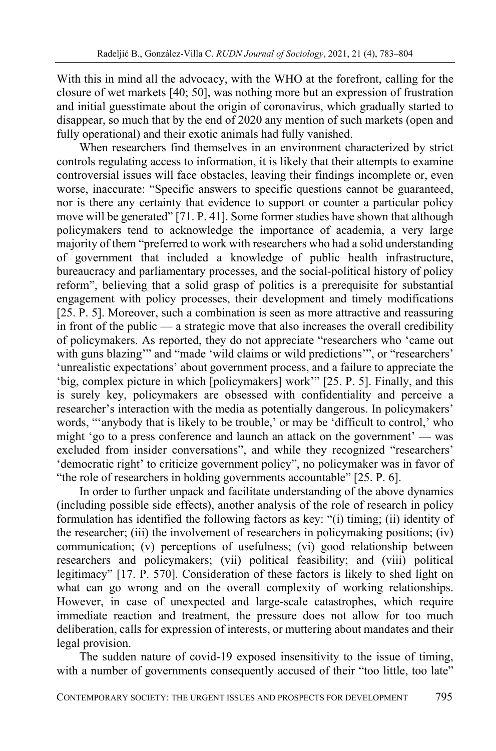With this in mind all the advocacy, with the WHO at the forefront, calling for the closure of wet markets [40; 50], was nothing more but an expression of frustration and initial guesstimate about the origin of coronavirus, which gradually started to disappear, so much that by the end of 2020 any mention of such markets (open and fully operational) and their exotic animals had fully vanished.

When researchers find themselves in an environment characterized by strict controls regulating access to information, it is likely that their attempts to examine controversial issues will face obstacles, leaving their findings incomplete or, even worse, inaccurate: "Specific answers to specific questions cannot be guaranteed, nor is there any certainty that evidence to support or counter a particular policy move will be generated" [71. P. 41]. Some former studies have shown that although policymakers tend to acknowledge the importance of academia, a very large majority of them "preferred to work with researchers who had a solid understanding of government that included a knowledge of public health infrastructure, bureaucracy and parliamentary processes, and the social-political history of policy reform", believing that a solid grasp of politics is a prerequisite for substantial engagement with policy processes, their development and timely modifications [25. P. 5]. Moreover, such a combination is seen as more attractive and reassuring in front of the public — a strategic move that also increases the overall credibility of policymakers. As reported, they do not appreciate "researchers who 'came out with guns blazing" and "made 'wild claims or wild predictions", or "researchers' 'unrealistic expectations' about government process, and a failure to appreciate the 'big, complex picture in which [policymakers] work'" [25. P. 5]. Finally, and this is surely key, policymakers are obsessed with confidentiality and perceive a researcher's interaction with the media as potentially dangerous. In policymakers' words, "'anybody that is likely to be trouble,' or may be 'difficult to control,' who might 'go to a press conference and launch an attack on the government' — was excluded from insider conversations", and while they recognized "researchers' 'democratic right' to criticize government policy", no policymaker was in favor of "the role of researchers in holding governments accountable" [25. P. 6].

In order to further unpack and facilitate understanding of the above dynamics (including possible side effects), another analysis of the role of research in policy formulation has identified the following factors as key: "(i) timing; (ii) identity of the researcher; (iii) the involvement of researchers in policymaking positions; (iv) communication; (v) perceptions of usefulness; (vi) good relationship between researchers and policymakers; (vii) political feasibility; and (viii) political legitimacy" [17. P. 570]. Consideration of these factors is likely to shed light on what can go wrong and on the overall complexity of working relationships. However, in case of unexpected and large-scale catastrophes, which require immediate reaction and treatment, the pressure does not allow for too much deliberation, calls for expression of interests, or muttering about mandates and their legal provision.

The sudden nature of covid-19 exposed insensitivity to the issue of timing, with a number of governments consequently accused of their "too little, too late"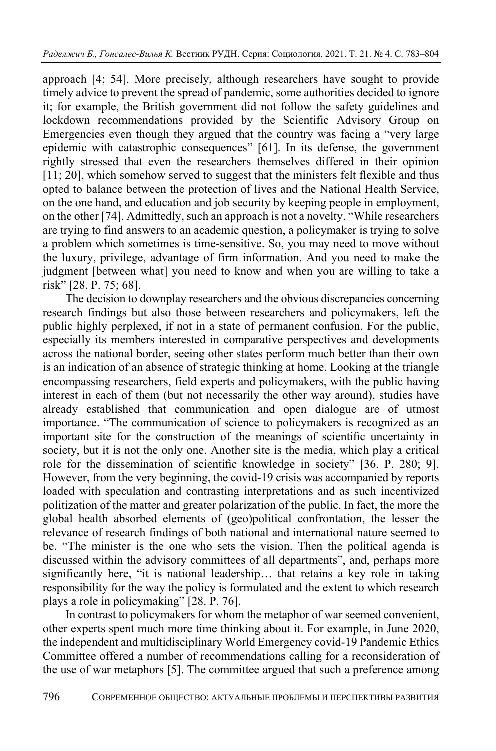approach [4; 54]. More precisely, although researchers have sought to provide timely advice to prevent the spread of pandemic, some authorities decided to ignore it; for example, the British government did not follow the safety guidelines and lockdown recommendations provided by the Scientific Advisory Group on Emergencies even though they argued that the country was facing a "very large epidemic with catastrophic consequences" [61]. In its defense, the government rightly stressed that even the researchers themselves differed in their opinion [11; 20], which somehow served to suggest that the ministers felt flexible and thus opted to balance between the protection of lives and the National Health Service, on the one hand, and education and job security by keeping people in employment, on the other [74]. Admittedly, such an approach is not a novelty. "While researchers are trying to find answers to an academic question, a policymaker is trying to solve a problem which sometimes is time-sensitive. So, you may need to move without the luxury, privilege, advantage of firm information. And you need to make the judgment [between what] you need to know and when you are willing to take a risk" [28. P. 75; 68].

The decision to downplay researchers and the obvious discrepancies concerning research findings but also those between researchers and policymakers, left the public highly perplexed, if not in a state of permanent confusion. For the public, especially its members interested in comparative perspectives and developments across the national border, seeing other states perform much better than their own is an indication of an absence of strategic thinking at home. Looking at the triangle encompassing researchers, field experts and policymakers, with the public having interest in each of them (but not necessarily the other way around), studies have already established that communication and open dialogue are of utmost importance. "The communication of science to policymakers is recognized as an important site for the construction of the meanings of scientific uncertainty in society, but it is not the only one. Another site is the media, which play a critical role for the dissemination of scientific knowledge in society" [36. P. 280; 9]. However, from the very beginning, the covid-19 crisis was accompanied by reports loaded with speculation and contrasting interpretations and as such incentivized politization of the matter and greater polarization of the public. In fact, the more the global health absorbed elements of (geo)political confrontation, the lesser the relevance of research findings of both national and international nature seemed to be. "The minister is the one who sets the vision. Then the political agenda is discussed within the advisory committees of all departments", and, perhaps more significantly here, "it is national leadership… that retains a key role in taking responsibility for the way the policy is formulated and the extent to which research plays a role in policymaking" [28. P. 76].

In contrast to policymakers for whom the metaphor of war seemed convenient, other experts spent much more time thinking about it. For example, in June 2020, the independent and multidisciplinary World Emergency covid-19 Pandemic Ethics Committee offered a number of recommendations calling for a reconsideration of the use of war metaphors [5]. The committee argued that such a preference among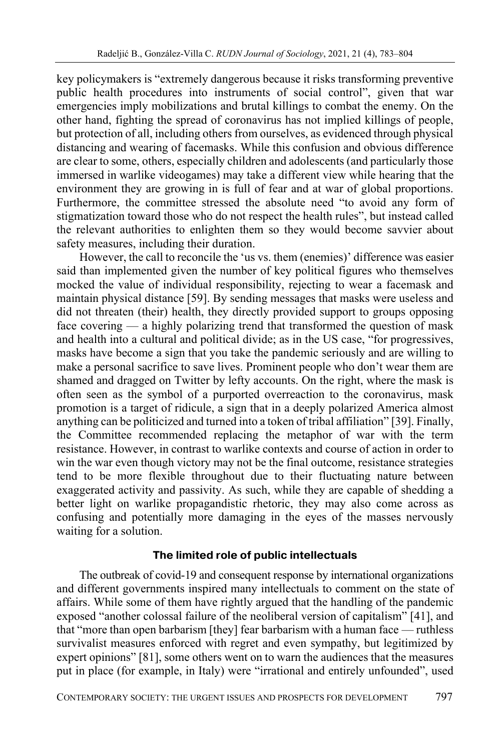key policymakers is "extremely dangerous because it risks transforming preventive public health procedures into instruments of social control", given that war emergencies imply mobilizations and brutal killings to combat the enemy. On the other hand, fighting the spread of coronavirus has not implied killings of people, but protection of all, including others from ourselves, as evidenced through physical distancing and wearing of facemasks. While this confusion and obvious difference are clear to some, others, especially children and adolescents (and particularly those immersed in warlike videogames) may take a different view while hearing that the environment they are growing in is full of fear and at war of global proportions. Furthermore, the committee stressed the absolute need "to avoid any form of stigmatization toward those who do not respect the health rules", but instead called the relevant authorities to enlighten them so they would become savvier about safety measures, including their duration.

However, the call to reconcile the 'us vs. them (enemies)' difference was easier said than implemented given the number of key political figures who themselves mocked the value of individual responsibility, rejecting to wear a facemask and maintain physical distance [59]. By sending messages that masks were useless and did not threaten (their) health, they directly provided support to groups opposing face covering — a highly polarizing trend that transformed the question of mask and health into a cultural and political divide; as in the US case, "for progressives, masks have become a sign that you take the pandemic seriously and are willing to make a personal sacrifice to save lives. Prominent people who don't wear them are shamed and dragged on Twitter by lefty accounts. On the right, where the mask is often seen as the symbol of a purported overreaction to the coronavirus, mask promotion is a target of ridicule, a sign that in a deeply polarized America almost anything can be politicized and turned into a token of tribal affiliation" [39]. Finally, the Committee recommended replacing the metaphor of war with the term resistance. However, in contrast to warlike contexts and course of action in order to win the war even though victory may not be the final outcome, resistance strategies tend to be more flexible throughout due to their fluctuating nature between exaggerated activity and passivity. As such, while they are capable of shedding a better light on warlike propagandistic rhetoric, they may also come across as confusing and potentially more damaging in the eyes of the masses nervously waiting for a solution.

#### **The limited role of public intellectuals**

The outbreak of covid-19 and consequent response by international organizations and different governments inspired many intellectuals to comment on the state of affairs. While some of them have rightly argued that the handling of the pandemic exposed "another colossal failure of the neoliberal version of capitalism" [41], and that "more than open barbarism [they] fear barbarism with a human face — ruthless survivalist measures enforced with regret and even sympathy, but legitimized by expert opinions" [81], some others went on to warn the audiences that the measures put in place (for example, in Italy) were "irrational and entirely unfounded", used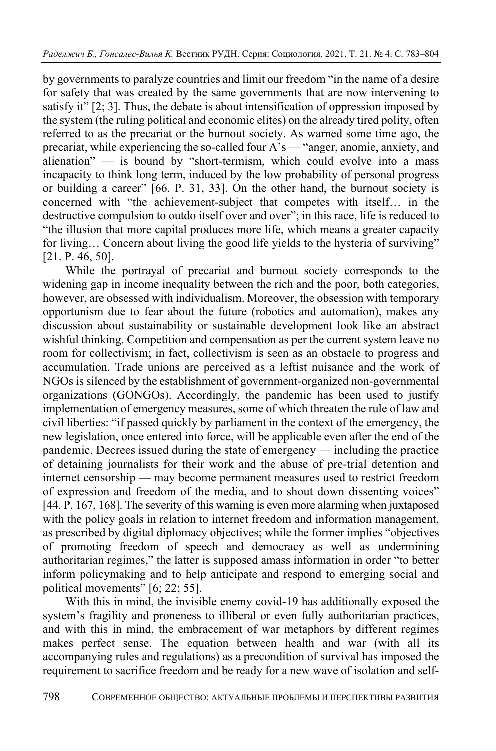by governments to paralyze countries and limit our freedom "in the name of a desire for safety that was created by the same governments that are now intervening to satisfy it" [2; 3]. Thus, the debate is about intensification of oppression imposed by the system (the ruling political and economic elites) on the already tired polity, often referred to as the precariat or the burnout society. As warned some time ago, the precariat, while experiencing the so-called four A's — "anger, anomie, anxiety, and alienation" — is bound by "short-termism, which could evolve into a mass incapacity to think long term, induced by the low probability of personal progress or building a career" [66. P. 31, 33]. On the other hand, the burnout society is concerned with "the achievement-subject that competes with itself… in the destructive compulsion to outdo itself over and over"; in this race, life is reduced to "the illusion that more capital produces more life, which means a greater capacity for living... Concern about living the good life yields to the hysteria of surviving" [21. P. 46, 50].

While the portrayal of precariat and burnout society corresponds to the widening gap in income inequality between the rich and the poor, both categories, however, are obsessed with individualism. Moreover, the obsession with temporary opportunism due to fear about the future (robotics and automation), makes any discussion about sustainability or sustainable development look like an abstract wishful thinking. Competition and compensation as per the current system leave no room for collectivism; in fact, collectivism is seen as an obstacle to progress and accumulation. Trade unions are perceived as a leftist nuisance and the work of NGOs is silenced by the establishment of government-organized non-governmental organizations (GONGOs). Accordingly, the pandemic has been used to justify implementation of emergency measures, some of which threaten the rule of law and civil liberties: "if passed quickly by parliament in the context of the emergency, the new legislation, once entered into force, will be applicable even after the end of the pandemic. Decrees issued during the state of emergency — including the practice of detaining journalists for their work and the abuse of pre-trial detention and internet censorship — may become permanent measures used to restrict freedom of expression and freedom of the media, and to shout down dissenting voices" [44. P. 167, 168]. The severity of this warning is even more alarming when juxtaposed with the policy goals in relation to internet freedom and information management, as prescribed by digital diplomacy objectives; while the former implies "objectives of promoting freedom of speech and democracy as well as undermining authoritarian regimes," the latter is supposed amass information in order "to better inform policymaking and to help anticipate and respond to emerging social and political movements" [6; 22; 55].

With this in mind, the invisible enemy covid-19 has additionally exposed the system's fragility and proneness to illiberal or even fully authoritarian practices, and with this in mind, the embracement of war metaphors by different regimes makes perfect sense. The equation between health and war (with all its accompanying rules and regulations) as a precondition of survival has imposed the requirement to sacrifice freedom and be ready for a new wave of isolation and self-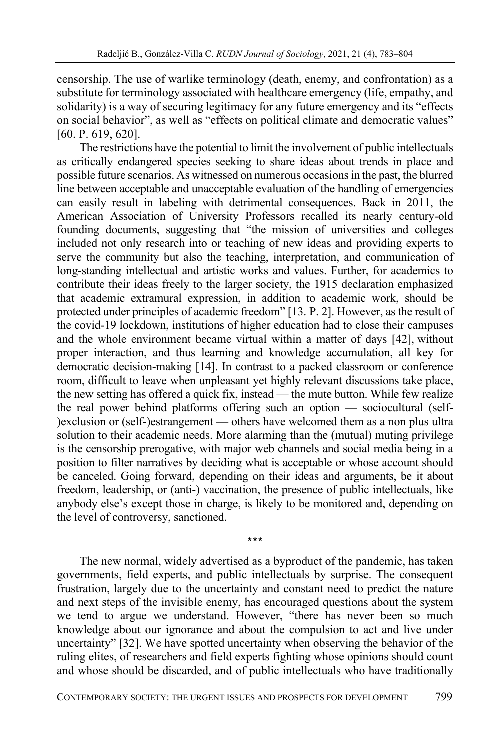censorship. The use of warlike terminology (death, enemy, and confrontation) as a substitute for terminology associated with healthcare emergency (life, empathy, and solidarity) is a way of securing legitimacy for any future emergency and its "effects on social behavior", as well as "effects on political climate and democratic values" [60. P. 619, 620].

The restrictions have the potential to limit the involvement of public intellectuals as critically endangered species seeking to share ideas about trends in place and possible future scenarios. As witnessed on numerous occasions in the past, the blurred line between acceptable and unacceptable evaluation of the handling of emergencies can easily result in labeling with detrimental consequences. Back in 2011, the American Association of University Professors recalled its nearly century-old founding documents, suggesting that "the mission of universities and colleges included not only research into or teaching of new ideas and providing experts to serve the community but also the teaching, interpretation, and communication of long-standing intellectual and artistic works and values. Further, for academics to contribute their ideas freely to the larger society, the 1915 declaration emphasized that academic extramural expression, in addition to academic work, should be protected under principles of academic freedom" [13. P. 2]. However, as the result of the covid-19 lockdown, institutions of higher education had to close their campuses and the whole environment became virtual within a matter of days [42], without proper interaction, and thus learning and knowledge accumulation, all key for democratic decision-making [14]. In contrast to a packed classroom or conference room, difficult to leave when unpleasant yet highly relevant discussions take place, the new setting has offered a quick fix, instead — the mute button. While few realize the real power behind platforms offering such an option — sociocultural (self- )exclusion or (self-)estrangement — others have welcomed them as a non plus ultra solution to their academic needs. More alarming than the (mutual) muting privilege is the censorship prerogative, with major web channels and social media being in a position to filter narratives by deciding what is acceptable or whose account should be canceled. Going forward, depending on their ideas and arguments, be it about freedom, leadership, or (anti-) vaccination, the presence of public intellectuals, like anybody else's except those in charge, is likely to be monitored and, depending on the level of controversy, sanctioned.

The new normal, widely advertised as a byproduct of the pandemic, has taken governments, field experts, and public intellectuals by surprise. The consequent frustration, largely due to the uncertainty and constant need to predict the nature and next steps of the invisible enemy, has encouraged questions about the system we tend to argue we understand. However, "there has never been so much knowledge about our ignorance and about the compulsion to act and live under uncertainty" [32]. We have spotted uncertainty when observing the behavior of the ruling elites, of researchers and field experts fighting whose opinions should count and whose should be discarded, and of public intellectuals who have traditionally

**\*\*\***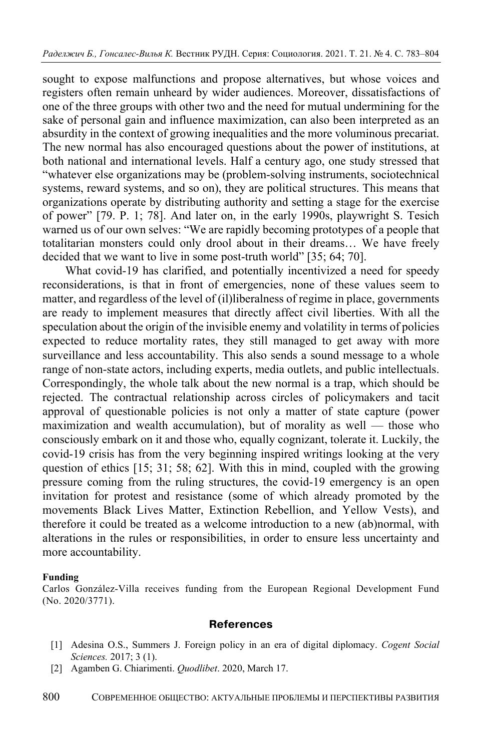sought to expose malfunctions and propose alternatives, but whose voices and registers often remain unheard by wider audiences. Moreover, dissatisfactions of one of the three groups with other two and the need for mutual undermining for the sake of personal gain and influence maximization, can also been interpreted as an absurdity in the context of growing inequalities and the more voluminous precariat. The new normal has also encouraged questions about the power of institutions, at both national and international levels. Half a century ago, one study stressed that "whatever else organizations may be (problem-solving instruments, sociotechnical systems, reward systems, and so on), they are political structures. This means that organizations operate by distributing authority and setting a stage for the exercise of power" [79. P. 1; 78]. And later on, in the early 1990s, playwright S. Tesich warned us of our own selves: "We are rapidly becoming prototypes of a people that totalitarian monsters could only drool about in their dreams… We have freely decided that we want to live in some post-truth world" [35; 64; 70].

What covid-19 has clarified, and potentially incentivized a need for speedy reconsiderations, is that in front of emergencies, none of these values seem to matter, and regardless of the level of (il)liberalness of regime in place, governments are ready to implement measures that directly affect civil liberties. With all the speculation about the origin of the invisible enemy and volatility in terms of policies expected to reduce mortality rates, they still managed to get away with more surveillance and less accountability. This also sends a sound message to a whole range of non-state actors, including experts, media outlets, and public intellectuals. Correspondingly, the whole talk about the new normal is a trap, which should be rejected. The contractual relationship across circles of policymakers and tacit approval of questionable policies is not only a matter of state capture (power maximization and wealth accumulation), but of morality as well — those who consciously embark on it and those who, equally cognizant, tolerate it. Luckily, the covid-19 crisis has from the very beginning inspired writings looking at the very question of ethics [15; 31; 58; 62]. With this in mind, coupled with the growing pressure coming from the ruling structures, the covid-19 emergency is an open invitation for protest and resistance (some of which already promoted by the movements Black Lives Matter, Extinction Rebellion, and Yellow Vests), and therefore it could be treated as a welcome introduction to a new (ab)normal, with alterations in the rules or responsibilities, in order to ensure less uncertainty and more accountability.

#### **Funding**

Carlos González-Villa receives funding from the European Regional Development Fund (No. 2020/3771).

#### **References**

- [1] Adesina O.S., Summers J. Foreign policy in an era of digital diplomacy. *Cogent Social Sciences.* 2017; 3 (1).
- [2] Agamben G. Chiarimenti. *Quodlibet*. 2020, March 17.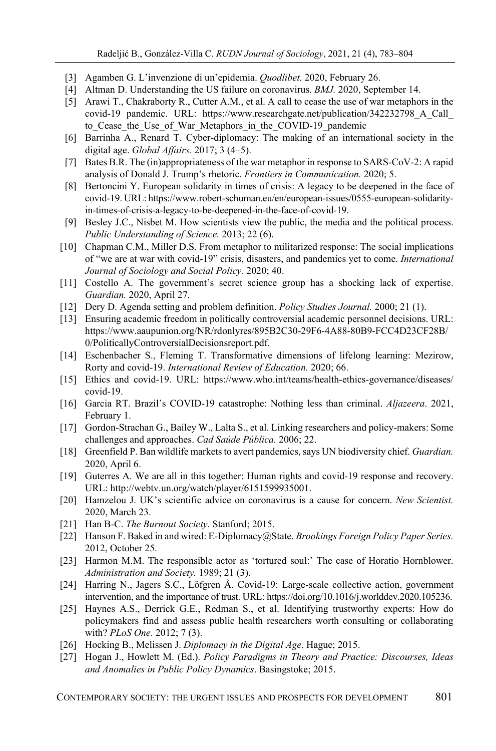- [3] Agamben G. L'invenzione di un'epidemia. *Quodlibet.* 2020, February 26.
- [4] Altman D. Understanding the US failure on coronavirus. *BMJ.* 2020, September 14.
- [5] Arawi T., Chakraborty R., Cutter A.M., et al. A call to cease the use of war metaphors in the covid-19 pandemic. URL: https://www.researchgate.net/publication/342232798\_A\_Call\_ to Cease the Use of War Metaphors in the COVID-19 pandemic
- [6] Barrinha A., Renard T. Cyber-diplomacy: The making of an international society in the digital age. *Global Affairs.* 2017; 3 (4–5).
- [7] Bates B.R. The (in)appropriateness of the war metaphor in response to SARS-CoV-2: A rapid analysis of Donald J. Trump's rhetoric. *Frontiers in Communication.* 2020; 5.
- [8] Bertoncini Y. European solidarity in times of crisis: A legacy to be deepened in the face of covid-19. URL: https://www.robert-schuman.eu/en/european-issues/0555-european-solidarityin-times-of-crisis-a-legacy-to-be-deepened-in-the-face-of-covid-19.
- [9] Besley J.C., Nisbet M. How scientists view the public, the media and the political process. *Public Understanding of Science.* 2013; 22 (6).
- [10] Chapman C.M., Miller D.S. From metaphor to militarized response: The social implications of "we are at war with covid-19" crisis, disasters, and pandemics yet to come. *International Journal of Sociology and Social Policy.* 2020; 40.
- [11] Costello A. The government's secret science group has a shocking lack of expertise. *Guardian.* 2020, April 27.
- [12] Dery D. Agenda setting and problem definition. *Policy Studies Journal.* 2000; 21 (1).
- [13] Ensuring academic freedom in politically controversial academic personnel decisions. URL: https://www.aaupunion.org/NR/rdonlyres/895B2C30-29F6-4A88-80B9-FCC4D23CF28B/ 0/PoliticallyControversialDecisionsreport.pdf.
- [14] Eschenbacher S., Fleming T. Transformative dimensions of lifelong learning: Mezirow, Rorty and covid-19. *International Review of Education.* 2020; 66.
- [15] Ethics and covid-19. URL: https://www.who.int/teams/health-ethics-governance/diseases/ covid-19.
- [16] Garcia RT. Brazil's COVID-19 catastrophe: Nothing less than criminal. *Aljazeera*. 2021, February 1.
- [17] Gordon-Strachan G., Bailey W., Lalta S., et al. Linking researchers and policy-makers: Some challenges and approaches. *Cad Saúde Pública.* 2006; 22.
- [18] Greenfield P. Ban wildlife markets to avert pandemics, says UN biodiversity chief. *Guardian.* 2020, April 6.
- [19] Guterres A. We are all in this together: Human rights and covid-19 response and recovery. URL: http://webtv.un.org/watch/player/6151599935001.
- [20] Hamzelou J. UK's scientific advice on coronavirus is a cause for concern. *New Scientist.*  2020, March 23.
- [21] Han B-C. *The Burnout Society*. Stanford; 2015.
- [22] Hanson F. Baked in and wired: E-Diplomacy@State. *Brookings Foreign Policy Paper Series.* 2012, October 25.
- [23] Harmon M.M. The responsible actor as 'tortured soul:' The case of Horatio Hornblower. *Administration and Society.* 1989; 21 (3).
- [24] Harring N., Jagers S.C., Löfgren Å. Covid-19: Large-scale collective action, government intervention, and the importance of trust. URL: https://doi.org/10.1016/j.worlddev.2020.105236.
- [25] Haynes A.S., Derrick G.E., Redman S., et al. Identifying trustworthy experts: How do policymakers find and assess public health researchers worth consulting or collaborating with? *PLoS One.* 2012; 7 (3).
- [26] Hocking B., Melissen J. *Diplomacy in the Digital Age*. Hague; 2015.
- [27] Hogan J., Howlett M. (Ed.). *Policy Paradigms in Theory and Practice: Discourses, Ideas and Anomalies in Public Policy Dynamics*. Basingstoke; 2015.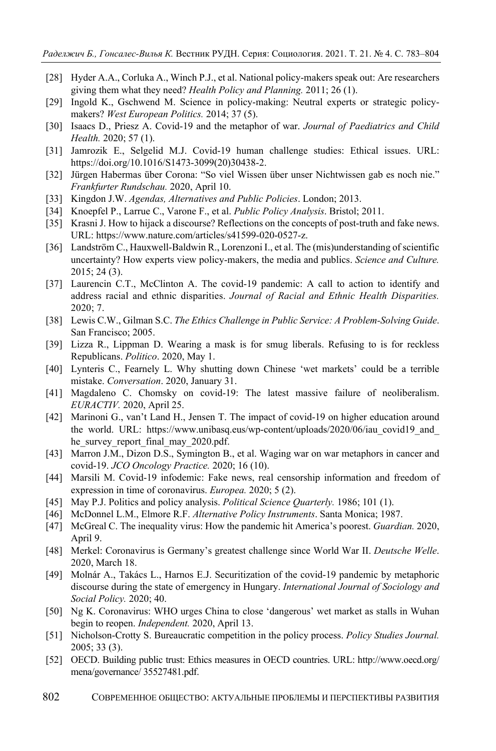- [28] Hyder A.A., Corluka A., Winch P.J., et al. National policy-makers speak out: Are researchers giving them what they need? *Health Policy and Planning.* 2011; 26 (1).
- [29] Ingold K., Gschwend M. Science in policy-making: Neutral experts or strategic policymakers? *West European Politics.* 2014; 37 (5).
- [30] Isaacs D., Priesz A. Covid-19 and the metaphor of war. *Journal of Paediatrics and Child Health.* 2020; 57 (1).
- [31] Jamrozik E., Selgelid M.J. Covid-19 human challenge studies: Ethical issues. URL: https://doi.org/10.1016/S1473-3099(20)30438-2.
- [32] Jürgen Habermas über Corona: "So viel Wissen über unser Nichtwissen gab es noch nie." *Frankfurter Rundschau.* 2020, April 10.
- [33] Kingdon J.W. *Agendas, Alternatives and Public Policies*. London; 2013.
- [34] Knoepfel P., Larrue C., Varone F., et al. *Public Policy Analysis*. Bristol; 2011.
- [35] Krasni J. How to hijack a discourse? Reflections on the concepts of post-truth and fake news. URL: https://www.nature.com/articles/s41599-020-0527-z.
- [36] Landström C., Hauxwell-Baldwin R., Lorenzoni I., et al. The (mis)understanding of scientific uncertainty? How experts view policy-makers, the media and publics. *Science and Culture.* 2015; 24 (3).
- [37] Laurencin C.T., McClinton A. The covid-19 pandemic: A call to action to identify and address racial and ethnic disparities. *Journal of Racial and Ethnic Health Disparities.* 2020; 7.
- [38] Lewis C.W., Gilman S.C. *The Ethics Challenge in Public Service: A Problem-Solving Guide*. San Francisco; 2005.
- [39] Lizza R., Lippman D. Wearing a mask is for smug liberals. Refusing to is for reckless Republicans. *Politico*. 2020, May 1.
- [40] Lynteris C., Fearnely L. Why shutting down Chinese 'wet markets' could be a terrible mistake. *Conversation*. 2020, January 31.
- [41] Magdaleno C. Chomsky on covid-19: The latest massive failure of neoliberalism. *EURACTIV.* 2020, April 25.
- [42] Marinoni G., van't Land H., Jensen T. The impact of covid-19 on higher education around the world. URL: https://www.unibasq.eus/wp-content/uploads/2020/06/iau covid19 and he\_survey\_report\_final\_may\_2020.pdf.
- [43] Marron J.M., Dizon D.S., Symington B., et al. Waging war on war metaphors in cancer and covid-19. *JCO Oncology Practice.* 2020; 16 (10).
- [44] Marsili M. Covid-19 infodemic: Fake news, real censorship information and freedom of expression in time of coronavirus. *Europea.* 2020; 5 (2).
- [45] May P.J. Politics and policy analysis. *Political Science Quarterly.* 1986; 101 (1).
- [46] McDonnel L.M., Elmore R.F. *Alternative Policy Instruments*. Santa Monica; 1987.
- [47] McGreal C. The inequality virus: How the pandemic hit America's poorest. *Guardian.* 2020, April 9.
- [48] Merkel: Coronavirus is Germany's greatest challenge since World War II. *Deutsche Welle*. 2020, March 18.
- [49] Molnár A., Takács L., Harnos E.J. Securitization of the covid-19 pandemic by metaphoric discourse during the state of emergency in Hungary. *International Journal of Sociology and Social Policy.* 2020; 40.
- [50] Ng K. Coronavirus: WHO urges China to close 'dangerous' wet market as stalls in Wuhan begin to reopen. *Independent.* 2020, April 13.
- [51] Nicholson-Crotty S. Bureaucratic competition in the policy process. *Policy Studies Journal.* 2005; 33 (3).
- [52] OECD. Building public trust: Ethics measures in OECD countries. URL: http://www.oecd.org/ mena/governance/ 35527481.pdf.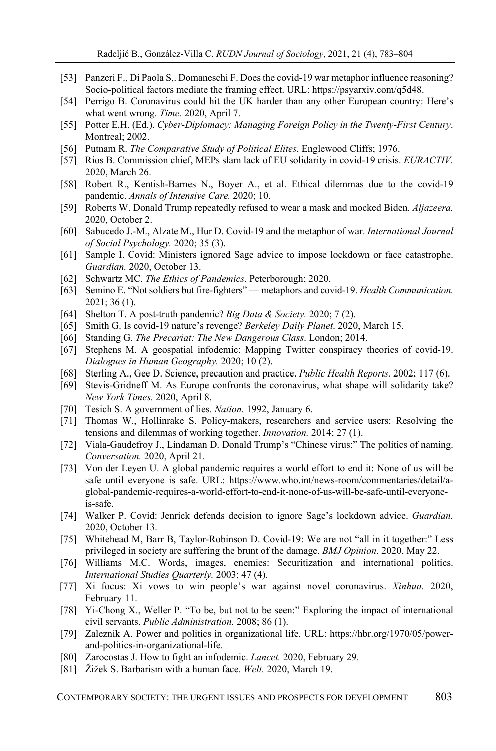- [53] Panzeri F., Di Paola S,. Domaneschi F. Does the covid-19 war metaphor influence reasoning? Socio-political factors mediate the framing effect. URL: https://psyarxiv.com/q5d48.
- [54] Perrigo B. Coronavirus could hit the UK harder than any other European country: Here's what went wrong. *Time.* 2020, April 7.
- [55] Potter E.H. (Ed.). *Cyber-Diplomacy: Managing Foreign Policy in the Twenty-First Century*. Montreal; 2002.
- [56] Putnam R. *The Comparative Study of Political Elites*. Englewood Cliffs; 1976.
- [57] Rios B. Commission chief, MEPs slam lack of EU solidarity in covid-19 crisis. *EURACTIV.*  2020, March 26.
- [58] Robert R., Kentish-Barnes N., Boyer A., et al. Ethical dilemmas due to the covid-19 pandemic. *Annals of Intensive Care.* 2020; 10.
- [59] Roberts W. Donald Trump repeatedly refused to wear a mask and mocked Biden. *Aljazeera.*  2020, October 2.
- [60] Sabucedo J.-M., Alzate M., Hur D. Covid-19 and the metaphor of war. *International Journal of Social Psychology.* 2020; 35 (3).
- [61] Sample I. Covid: Ministers ignored Sage advice to impose lockdown or face catastrophe. *Guardian.* 2020, October 13.
- [62] Schwartz MC. *The Ethics of Pandemics*. Peterborough; 2020.
- [63] Semino E. "Not soldiers but fire-fighters" metaphors and covid-19. *Health Communication.* 2021; 36 (1).
- [64] Shelton T. A post-truth pandemic? *Big Data & Society.* 2020; 7 (2).
- [65] Smith G. Is covid-19 nature's revenge? *Berkeley Daily Planet*. 2020, March 15.
- [66] Standing G. *The Precariat: The New Dangerous Class*. London; 2014.
- [67] Stephens M. A geospatial infodemic: Mapping Twitter conspiracy theories of covid-19. *Dialogues in Human Geography.* 2020; 10 (2).
- [68] Sterling A., Gee D. Science, precaution and practice. *Public Health Reports.* 2002; 117 (6).
- [69] Stevis-Gridneff M. As Europe confronts the coronavirus, what shape will solidarity take? *New York Times.* 2020, April 8.
- [70] Tesich S. A government of lies. *Nation.* 1992, January 6.
- [71] Thomas W., Hollinrake S. Policy-makers, researchers and service users: Resolving the tensions and dilemmas of working together. *Innovation.* 2014; 27 (1).
- [72] Viala-Gaudefroy J., Lindaman D. Donald Trump's "Chinese virus:" The politics of naming. *Conversation.* 2020, April 21.
- [73] Von der Leyen U. A global pandemic requires a world effort to end it: None of us will be safe until everyone is safe. URL: https://www.who.int/news-room/commentaries/detail/aglobal-pandemic-requires-a-world-effort-to-end-it-none-of-us-will-be-safe-until-everyoneis-safe.
- [74] Walker P. Covid: Jenrick defends decision to ignore Sage's lockdown advice. *Guardian.*  2020, October 13.
- [75] Whitehead M, Barr B, Taylor-Robinson D. Covid-19: We are not "all in it together:" Less privileged in society are suffering the brunt of the damage. *BMJ Opinion*. 2020, May 22.
- [76] Williams M.C. Words, images, enemies: Securitization and international politics. *International Studies Quarterly.* 2003; 47 (4).
- [77] Xi focus: Xi vows to win people's war against novel coronavirus. *Xinhua.* 2020, February 11.
- [78] Yi-Chong X., Weller P. "To be, but not to be seen:" Exploring the impact of international civil servants. *Public Administration.* 2008; 86 (1).
- [79] Zaleznik A. Power and politics in organizational life. URL: https://hbr.org/1970/05/powerand-politics-in-organizational-life.
- [80] Zarocostas J. How to fight an infodemic. *Lancet.* 2020, February 29.
- [81] Žižek S. Barbarism with a human face. *Welt.* 2020, March 19.